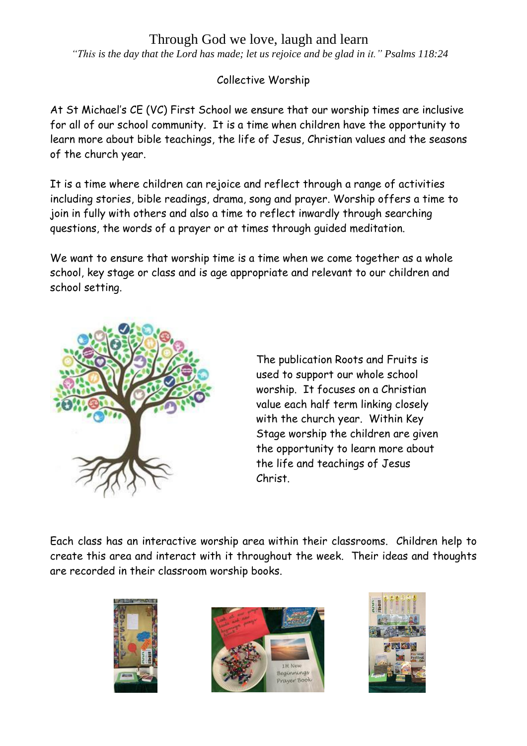## Through God we love, laugh and learn

 *"This is the day that the Lord has made; let us rejoice and be glad in it." Psalms 118:24*

Collective Worship

At St Michael's CE (VC) First School we ensure that our worship times are inclusive for all of our school community. It is a time when children have the opportunity to learn more about bible teachings, the life of Jesus, Christian values and the seasons of the church year.

It is a time where children can rejoice and reflect through a range of activities including stories, bible readings, drama, song and prayer. Worship offers a time to join in fully with others and also a time to reflect inwardly through searching questions, the words of a prayer or at times through guided meditation.

We want to ensure that worship time is a time when we come together as a whole school, key stage or class and is age appropriate and relevant to our children and school setting.



The publication Roots and Fruits is used to support our whole school worship. It focuses on a Christian value each half term linking closely with the church year. Within Key Stage worship the children are given the opportunity to learn more about the life and teachings of Jesus Christ.

Each class has an interactive worship area within their classrooms. Children help to create this area and interact with it throughout the week. Their ideas and thoughts are recorded in their classroom worship books.





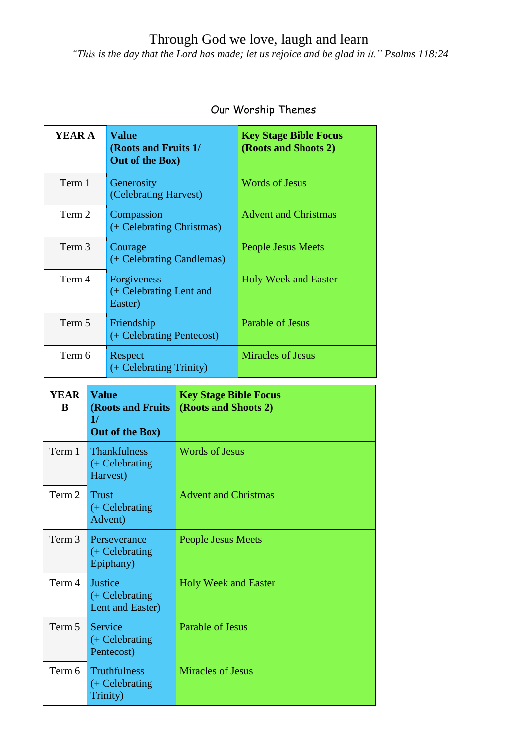## Through God we love, laugh and learn

 *"This is the day that the Lord has made; let us rejoice and be glad in it." Psalms 118:24*

| YEAR A | <b>Value</b><br>(Roots and Fruits 1/<br>Out of the Box) | <b>Key Stage Bible Focus</b><br>(Roots and Shoots 2) |
|--------|---------------------------------------------------------|------------------------------------------------------|
| Term 1 | Generosity<br>(Celebrating Harvest)                     | <b>Words of Jesus</b>                                |
| Term 2 | Compassion<br>(+ Celebrating Christmas)                 | <b>Advent and Christmas</b>                          |
| Term 3 | Courage<br>(+ Celebrating Candlemas)                    | <b>People Jesus Meets</b>                            |
| Term 4 | Forgiveness<br>(+ Celebrating Lent and<br>Easter)       | <b>Holy Week and Easter</b>                          |
| Term 5 | Friendship<br>(+ Celebrating Pentecost)                 | Parable of Jesus                                     |
| Term 6 | Respect<br>(+ Celebrating Trinity)                      | <b>Miracles of Jesus</b>                             |

## Our Worship Themes

| <b>YEAR</b><br>B | <b>Value</b><br><b>(Roots and Fruits)</b><br>1/<br>Out of the Box) | <b>Key Stage Bible Focus</b><br>(Roots and Shoots 2) |
|------------------|--------------------------------------------------------------------|------------------------------------------------------|
| Term 1           | <b>Thankfulness</b><br>$(+$ Celebrating<br>Harvest)                | <b>Words of Jesus</b>                                |
| Term 2           | <b>Trust</b><br>$(+$ Celebrating<br>Advent)                        | <b>Advent and Christmas</b>                          |
| Term 3           | Perseverance<br>$(+$ Celebrating<br>Epiphany)                      | People Jesus Meets                                   |
| Term 4           | Justice<br>$(+$ Celebrating<br>Lent and Easter)                    | <b>Holy Week and Easter</b>                          |
| Term 5           | Service<br>$(+$ Celebrating<br>Pentecost)                          | Parable of Jesus                                     |
| Term 6           | <b>Truthfulness</b><br>$(+$ Celebrating<br>Trinity)                | <b>Miracles of Jesus</b>                             |